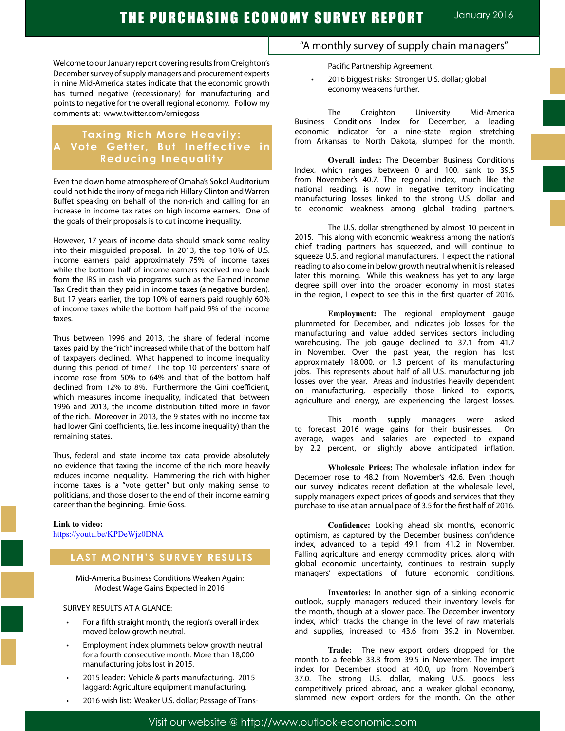Welcome to our January report covering results from Creighton's December survey of supply managers and procurement experts in nine Mid-America states indicate that the economic growth has turned negative (recessionary) for manufacturing and points to negative for the overall regional economy. Follow my comments at: www.twitter.com/erniegoss

## **Taxing Rich More Heavily: A Vote Getter, But Ineffective in Reducing Inequality**

Even the down home atmosphere of Omaha's Sokol Auditorium could not hide the irony of mega rich Hillary Clinton and Warren Buffet speaking on behalf of the non-rich and calling for an increase in income tax rates on high income earners. One of the goals of their proposals is to cut income inequality.

However, 17 years of income data should smack some reality into their misguided proposal. In 2013, the top 10% of U.S. income earners paid approximately 75% of income taxes while the bottom half of income earners received more back from the IRS in cash via programs such as the Earned Income Tax Credit than they paid in income taxes (a negative burden). But 17 years earlier, the top 10% of earners paid roughly 60% of income taxes while the bottom half paid 9% of the income taxes.

Thus between 1996 and 2013, the share of federal income taxes paid by the "rich" increased while that of the bottom half of taxpayers declined. What happened to income inequality during this period of time? The top 10 percenters' share of income rose from 50% to 64% and that of the bottom half declined from 12% to 8%. Furthermore the Gini coefficient, which measures income inequality, indicated that between 1996 and 2013, the income distribution tilted more in favor of the rich. Moreover in 2013, the 9 states with no income tax had lower Gini coefficients, (i.e. less income inequality) than the remaining states.

Thus, federal and state income tax data provide absolutely no evidence that taxing the income of the rich more heavily reduces income inequality. Hammering the rich with higher income taxes is a "vote getter" but only making sense to politicians, and those closer to the end of their income earning career than the beginning. Ernie Goss.

## **Link to video:**

https://youtu.be/KPDeWjz0DNA

## **LAST MONTH'S SURVEY RESULTS**

#### Mid-America Business Conditions Weaken Again: Modest Wage Gains Expected in 2016

#### SURVEY RESULTS AT A GLANCE:

- For a fifth straight month, the region's overall index moved below growth neutral.
- Employment index plummets below growth neutral for a fourth consecutive month. More than 18,000 manufacturing jobs lost in 2015.
- 2015 leader: Vehicle & parts manufacturing. 2015 laggard: Agriculture equipment manufacturing.
- 2016 wish list: Weaker U.S. dollar; Passage of Trans-

## "A monthly survey of supply chain managers"

Pacific Partnership Agreement.

2016 biggest risks: Stronger U.S. dollar; global economy weakens further.

The Creighton University Mid-America Business Conditions Index for December, a leading economic indicator for a nine-state region stretching from Arkansas to North Dakota, slumped for the month.

**Overall index:** The December Business Conditions Index, which ranges between 0 and 100, sank to 39.5 from November's 40.7. The regional index, much like the national reading, is now in negative territory indicating manufacturing losses linked to the strong U.S. dollar and to economic weakness among global trading partners.

The U.S. dollar strengthened by almost 10 percent in 2015. This along with economic weakness among the nation's chief trading partners has squeezed, and will continue to squeeze U.S. and regional manufacturers. I expect the national reading to also come in below growth neutral when it is released later this morning. While this weakness has yet to any large degree spill over into the broader economy in most states in the region, I expect to see this in the first quarter of 2016.

**Employment:** The regional employment gauge plummeted for December, and indicates job losses for the manufacturing and value added services sectors including warehousing. The job gauge declined to 37.1 from 41.7 in November. Over the past year, the region has lost approximately 18,000, or 1.3 percent of its manufacturing jobs. This represents about half of all U.S. manufacturing job losses over the year. Areas and industries heavily dependent on manufacturing, especially those linked to exports, agriculture and energy, are experiencing the largest losses.

This month supply managers were asked to forecast 2016 wage gains for their businesses. On average, wages and salaries are expected to expand by 2.2 percent, or slightly above anticipated inflation.

**Wholesale Prices:** The wholesale inflation index for December rose to 48.2 from November's 42.6. Even though our survey indicates recent deflation at the wholesale level, supply managers expect prices of goods and services that they purchase to rise at an annual pace of 3.5 for the first half of 2016.

**Confidence:** Looking ahead six months, economic optimism, as captured by the December business confidence index, advanced to a tepid 49.1 from 41.2 in November. Falling agriculture and energy commodity prices, along with global economic uncertainty, continues to restrain supply managers' expectations of future economic conditions.

**Inventories:** In another sign of a sinking economic outlook, supply managers reduced their inventory levels for the month, though at a slower pace. The December inventory index, which tracks the change in the level of raw materials and supplies, increased to 43.6 from 39.2 in November.

**Trade:** The new export orders dropped for the month to a feeble 33.8 from 39.5 in November. The import index for December stood at 40.0, up from November's 37.0. The strong U.S. dollar, making U.S. goods less competitively priced abroad, and a weaker global economy, slammed new export orders for the month. On the other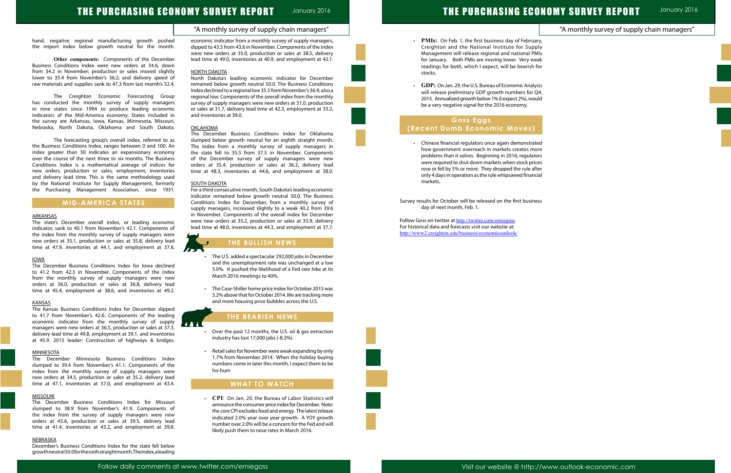## THE PURCHASING ECONOMY SURVEY REPORT January 2016

# THE PURCHASING ECONOMY SURVEY REPORT

"A monthly survey of supply chain managers"

January 2016

## "A monthly survey of supply chain managers"

- 
- 
- 



- 
- 

hand, negative regional manufacturing growth pushed the import index below growth neutral for the month.

**Other components:** Components of the December Business Conditions Index were new orders at 34.6, down from 34.2 in November; production or sales moved slightly lower to 35.4 from November's 36.2; and delivery speed of raw materials and supplies sank to 47.3 from last month's 52.4.

The Creighton Economic Forecasting Group has conducted the monthly survey of supply managers in nine states since 1994 to produce leading economic indicators of the Mid-America economy. States included in the survey are Arkansas, Iowa, Kansas, Minnesota, Missouri, Nebraska, North Dakota, Oklahoma and South Dakota.

The forecasting group's overall index, referred to as the Business Conditions Index, ranges between 0 and 100. An index greater than 50 indicates an expansionary economy over the course of the next three to six months. The Business Conditions Index is a mathematical average of indices for new orders, production or sales, employment, inventories and delivery lead time. This is the same methodology used by the National Institute for Supply Management, formerly the Purchasing Management Association, since 1931.

## **MID-AMERICA STATES**

#### **ARKANSAS**

The state's December overall index, or leading economic indicator, sank to 40.1 from November's 42.1. Components of the index from the monthly survey of supply managers were new orders at 35.1, production or sales at 35.8, delivery lead time at 47.9, inventories at 44.1, and employment at 37.6.

#### IOWA

The December Business Conditions Index for Iowa declined to 41.2 from 42.3 in November. Components of the index from the monthly survey of supply managers were new orders at 36.0, production or sales at 36.8, delivery lead time at 45.4, employment at 38.6, and inventories at 49.2.

#### KANSAS

The Kansas Business Conditions Index for December slipped to 41.7 from November's 42.6. Components of the leading economic indicator from the monthly survey of supply managers were new orders at 36.5, production or sales at 37.3, delivery lead time at 49.8, employment at 39.1, and inventories at 45.9. 2015 leader: Construction of highways & bridges.

#### **MINNESOTA**

- The U.S. added a spectacular 292,000 jobs in December and the unemployment rate was unchanged at a low 5.0%. It pushed the likelihood of a Fed rate hike at its March 2016 meetings to 40%.
- • The Case-Shiller home price index for October 2015 was 5.2% above that for October 2014. We are tracking more and more housing price bubbles across the U.S.

The December Minnesota Business Conditions Index slumped to 39.4 from November's 41.1. Components of the index from the monthly survey of supply managers were new orders at 34.5, production or sales at 35.2, delivery lead time at 47.1, inventories at 37.0, and employment at 43.4.

#### **MISSOURI**

- Over the past 12 months, the U.S. oil & gas extraction industry has lost 17,000 jobs (-8.3%).
- • Retail sales for November were weak expanding by only 1.7% from November 2014. When the holiday buying numbers come in later this month, I expect them to be ho-hum

The December Business Conditions Index for Missouri slumped to 38.9 from November's 41.9. Components of the index from the survey of supply managers were new orders at 45.6, production or sales at 39.5, delivery lead time at 41.4, inventories at 43.2, and employment at 39.8.

#### NEBRASKA

December's Business Conditions Index for the state fell below growth neutral 50.0 for the sixth straight month. The index, a leading economic indicator from a monthly survey of supply managers, dipped to 43.5 from 43.6 in November. Components of the index were new orders at 35.0, production or sales at 38.5, delivery lead time at 49.0, inventories at 40.9, and employment at 42.1.

> Follow Goss on twitter at http://twitter.com/erniegoss For historical data and forecasts visit our website at: http://www2.creighton.edu/business/economicoutlook/

#### NORTH DAKOTA

North Dakota's leading economic indicator for December remained below growth neutral 50.0. The Business Conditions Index declined to a regional low 35.5 from November's 36.9, also a regional low. Components of the overall index from the monthly survey of supply managers were new orders at 31.0, production or sales at 31.7, delivery lead time at 42.3, employment at 33.2, and inventories at 39.0.

#### OKLAHOMA

The December Business Conditions Index for Oklahoma slumped below growth neutral for an eighth straight month. The index from a monthly survey of supply managers in the state fell to 35.5 from 37.5 in November. Components of the December survey of supply managers were new orders at 35.4, production or sales at 36.2, delivery lead time at 48.3, inventories at 44.6, and employment at 38.0.

#### SOUTH DAKOTA

For a third consecutive month, South Dakota's leading economic indicator remained below growth neutral 50.0. The Business Conditions Index for December, from a monthly survey of supply managers, increased slightly to a weak 40.2 from 39.6 in November. Components of the overall index for December were new orders at 35.2, production or sales at 35.9, delivery lead time at 48.0, inventories at 44.3, and employment at 37.7.

### **THE BULLISH NEWS**

## **THE BEARISH NEWS**

**ASA** 

l

Ĩ

### **WHAT TO WATCH**

 • **CPI**: On Jan. 20, the Bureau of Labor Statistics will announce the consumer price index for December. Note: the core CPI excludes food and energy. The latest release indicated 2.0% year over year growth. A YOY growth number over 2.0% will be a concern for the Fed and will likely push them to raise rates in March 2016.

- • **PMIs:** On Feb. 1, the first business day of February, Creighton and the National Institute for Supply Management will release regional and national PMIs for January. Both PMIs are moving lower. Very weak readings for both, which I expect, will be bearish for stocks.
- • **GDP:** On Jan. 29, the U.S. Bureau of Economic Analysis will release preliminary GDP growth numbers for Q4, 2015. Annualized growth below 1% (I expect 2%), would be a very negative signal for the 2016 economy.

## **Goss Eggs (Recent Dumb Economic Moves)**

 • Chinese financial regulators once again demonstrated how government overreach in markets creates more problems than it solves. Beginning in 2016, regulators were required to shut down markets when stock prices rose or fell by 5% or more. They dropped the rule after only 4 days in operation as the rule whipsawed financial markets.

Survey results for October will be released on the first business day of next month, Feb. 1.